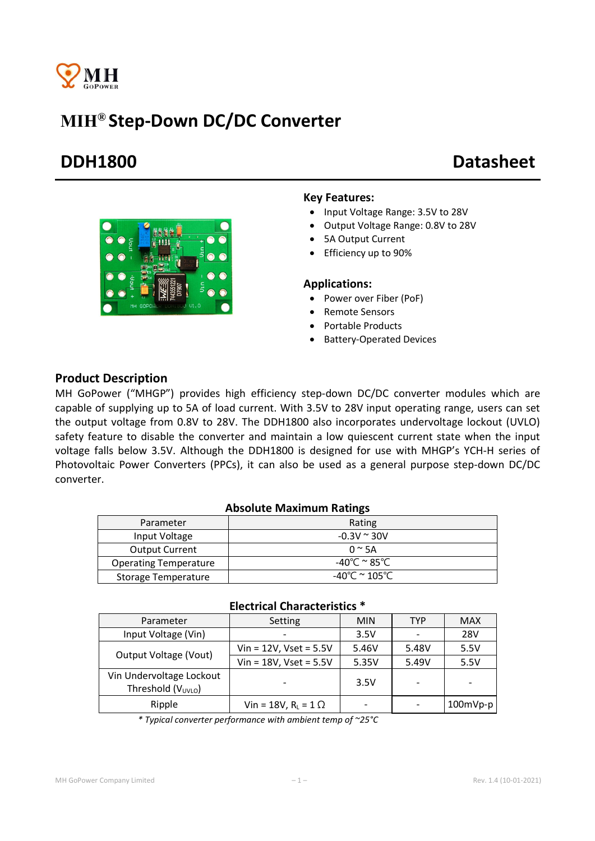

# MIH® Step-Down DC/DC Converter

# DDH1800 Datasheet



### Key Features:

- Input Voltage Range: 3.5V to 28V
- Output Voltage Range: 0.8V to 28V
- 5A Output Current
- Efficiency up to 90%

### Applications:

- Power over Fiber (PoF)
- Remote Sensors
- Portable Products
- Battery-Operated Devices

## Product Description

MH GoPower ("MHGP") provides high efficiency step-down DC/DC converter modules which are capable of supplying up to 5A of load current. With 3.5V to 28V input operating range, users can set the output voltage from 0.8V to 28V. The DDH1800 also incorporates undervoltage lockout (UVLO) safety feature to disable the converter and maintain a low quiescent current state when the input voltage falls below 3.5V. Although the DDH1800 is designed for use with MHGP's YCH-H series of Photovoltaic Power Converters (PPCs), it can also be used as a general purpose step-down DC/DC converter.

### Absolute Maximum Ratings

| Parameter                    | Rating                |
|------------------------------|-----------------------|
| Input Voltage                | $-0.3V \approx 30V$   |
| <b>Output Current</b>        | $0 \approx 5A$        |
| <b>Operating Temperature</b> | -40°C $\approx$ 85°C. |
| <b>Storage Temperature</b>   | -40°C $\simeq$ 105°C. |

| LICCUTCAL CHATACLEITSUCS                           |                               |            |       |            |
|----------------------------------------------------|-------------------------------|------------|-------|------------|
| Parameter                                          | Setting                       | <b>MIN</b> | TYP   | <b>MAX</b> |
| Input Voltage (Vin)                                |                               | 3.5V       |       | <b>28V</b> |
| Output Voltage (Vout)                              | $V$ in = 12V, Vset = 5.5V     | 5.46V      | 5.48V | 5.5V       |
|                                                    | $Vin = 18V$ , Vset = $5.5V$   | 5.35V      | 5.49V | 5.5V       |
| Vin Undervoltage Lockout<br>Threshold $(V_{UVLO})$ |                               | 3.5V       |       |            |
| Ripple                                             | Vin = 18V, $R_L$ = 1 $\Omega$ |            |       | $100mVp-p$ |

## Electrical Characteristics \*

*\* Typical converter performance with ambient temp of ~25°C*